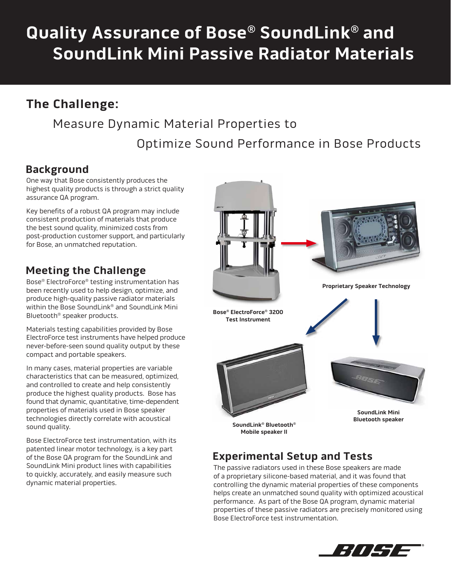# **Quality Assurance of Bose® SoundLink® and SoundLink Mini Passive Radiator Materials**

# **The Challenge:**

# Measure Dynamic Material Properties to

Optimize Sound Performance in Bose Products

## **Background**

One way that Bose consistently produces the highest quality products is through a strict quality assurance QA program.

Key benefits of a robust QA program may include consistent production of materials that produce the best sound quality, minimized costs from post-production customer support, and particularly for Bose, an unmatched reputation.

# **Meeting the Challenge**

Bose® ElectroForce® testing instrumentation has been recently used to help design, optimize, and produce high-quality passive radiator materials within the Bose SoundLink® and SoundLink Mini Bluetooth® speaker products.

Materials testing capabilities provided by Bose ElectroForce test instruments have helped produce never-before-seen sound quality output by these compact and portable speakers.

In many cases, material properties are variable characteristics that can be measured, optimized, and controlled to create and help consistently produce the highest quality products. Bose has found that dynamic, quantitative, time-dependent properties of materials used in Bose speaker technologies directly correlate with acoustical sound quality.

Bose ElectroForce test instrumentation, with its patented linear motor technology, is a key part of the Bose QA program for the SoundLink and SoundLink Mini product lines with capabilities to quickly, accurately, and easily measure such dynamic material properties.



## **Experimental Setup and Tests**

The passive radiators used in these Bose speakers are made of a proprietary silicone-based material, and it was found that controlling the dynamic material properties of these components helps create an unmatched sound quality with optimized acoustical performance. As part of the Bose QA program, dynamic material properties of these passive radiators are precisely monitored using Bose ElectroForce test instrumentation.